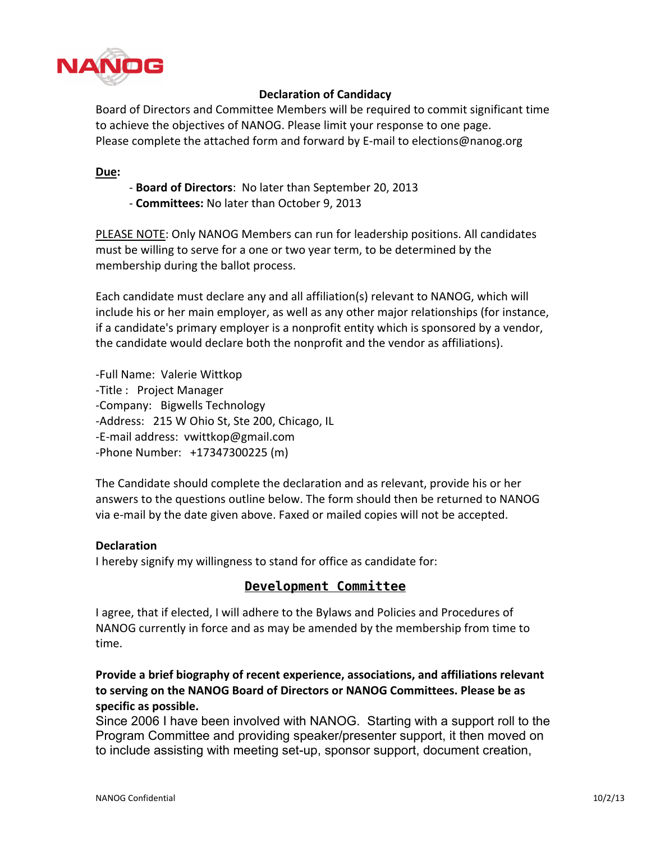

## **Declaration of Candidacy**

Board of Directors and Committee Members will be required to commit significant time to achieve the objectives of NANOG. Please limit your response to one page. Please complete the attached form and forward by E-mail to elections@nanog.org

#### **Due:**

- Board of Directors: No later than September 20, 2013
- **Committees: No later than October 9, 2013**

PLEASE NOTE: Only NANOG Members can run for leadership positions. All candidates must be willing to serve for a one or two year term, to be determined by the membership during the ballot process.

Each candidate must declare any and all affiliation(s) relevant to NANOG, which will include his or her main employer, as well as any other major relationships (for instance, if a candidate's primary employer is a nonprofit entity which is sponsored by a vendor, the candidate would declare both the nonprofit and the vendor as affiliations).

-Full Name: Valerie Wittkop -Title : Project Manager -Company: Bigwells Technology -Address: 215 W Ohio St, Ste 200, Chicago, IL -E-mail address: vwittkop@gmail.com -Phone Number: +17347300225 (m)

The Candidate should complete the declaration and as relevant, provide his or her answers to the questions outline below. The form should then be returned to NANOG via e-mail by the date given above. Faxed or mailed copies will not be accepted.

### **Declaration**

I hereby signify my willingness to stand for office as candidate for:

### **Development Committee**

I agree, that if elected, I will adhere to the Bylaws and Policies and Procedures of NANOG currently in force and as may be amended by the membership from time to time.

# Provide a brief biography of recent experience, associations, and affiliations relevant to serving on the NANOG Board of Directors or NANOG Committees. Please be as **specific+as+possible.**

Since 2006 I have been involved with NANOG. Starting with a support roll to the Program Committee and providing speaker/presenter support, it then moved on to include assisting with meeting set-up, sponsor support, document creation,